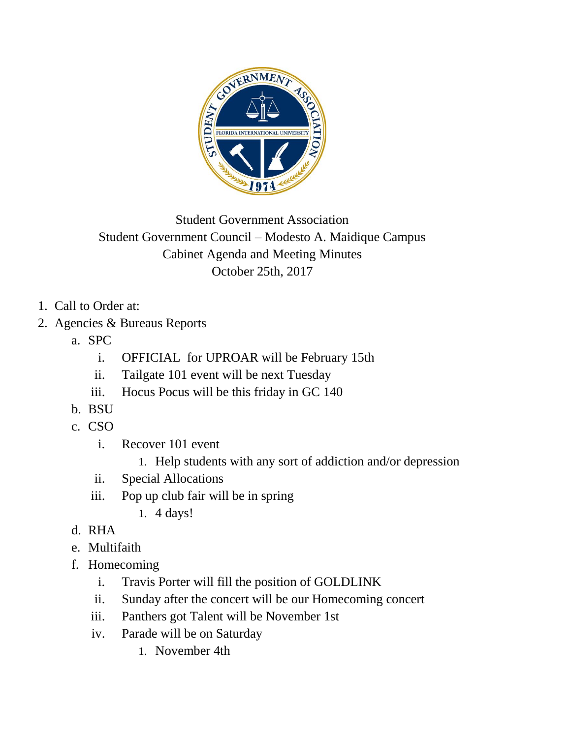

Student Government Association Student Government Council – Modesto A. Maidique Campus Cabinet Agenda and Meeting Minutes October 25th, 2017

- 1. Call to Order at:
- 2. Agencies & Bureaus Reports
	- a. SPC
		- i. OFFICIAL for UPROAR will be February 15th
		- ii. Tailgate 101 event will be next Tuesday
		- iii. Hocus Pocus will be this friday in GC 140
	- b. BSU
	- c. CSO
		- i. Recover 101 event
			- 1. Help students with any sort of addiction and/or depression
		- ii. Special Allocations
		- iii. Pop up club fair will be in spring
			- 1. 4 days!
	- d. RHA
	- e. Multifaith
	- f. Homecoming
		- i. Travis Porter will fill the position of GOLDLINK
		- ii. Sunday after the concert will be our Homecoming concert
		- iii. Panthers got Talent will be November 1st
		- iv. Parade will be on Saturday
			- 1. November 4th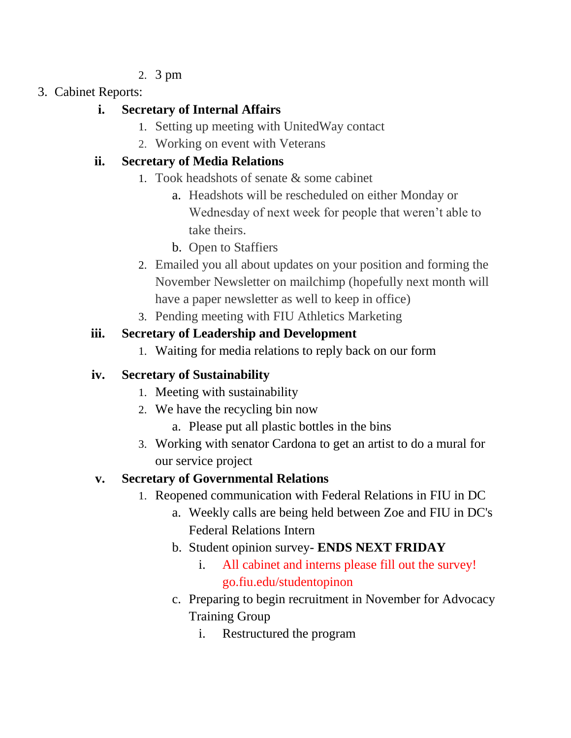- 2. 3 pm
- 3. Cabinet Reports:

### **i. Secretary of Internal Affairs**

- 1. Setting up meeting with UnitedWay contact
- 2. Working on event with Veterans

## **ii. Secretary of Media Relations**

- 1. Took headshots of senate & some cabinet
	- a. Headshots will be rescheduled on either Monday or Wednesday of next week for people that weren't able to take theirs.
	- b. Open to Staffiers
- 2. Emailed you all about updates on your position and forming the November Newsletter on mailchimp (hopefully next month will have a paper newsletter as well to keep in office)
- 3. Pending meeting with FIU Athletics Marketing

## **iii. Secretary of Leadership and Development**

1. Waiting for media relations to reply back on our form

# **iv. Secretary of Sustainability**

- 1. Meeting with sustainability
- 2. We have the recycling bin now
	- a. Please put all plastic bottles in the bins
- 3. Working with senator Cardona to get an artist to do a mural for our service project

# **v. Secretary of Governmental Relations**

- 1. Reopened communication with Federal Relations in FIU in DC
	- a. Weekly calls are being held between Zoe and FIU in DC's Federal Relations Intern
	- b. Student opinion survey- **ENDS NEXT FRIDAY**
		- i. All cabinet and interns please fill out the survey! go.fiu.edu/studentopinon
	- c. Preparing to begin recruitment in November for Advocacy Training Group
		- i. Restructured the program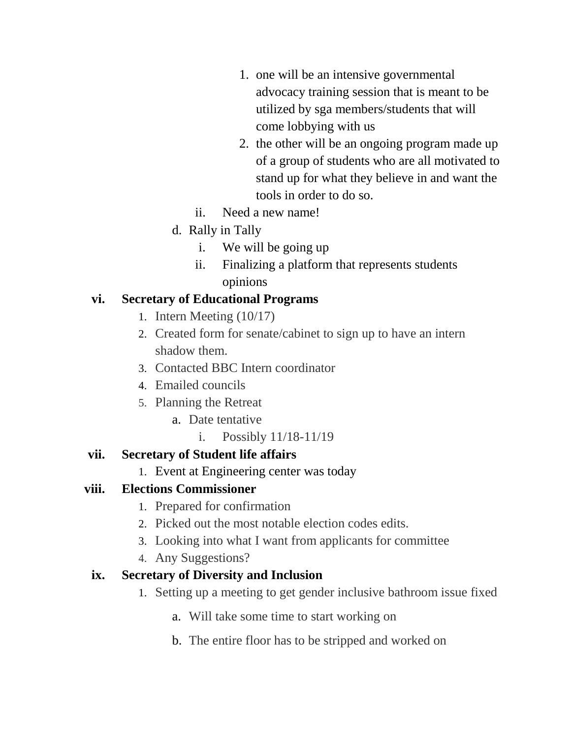- 1. one will be an intensive governmental advocacy training session that is meant to be utilized by sga members/students that will come lobbying with us
- 2. the other will be an ongoing program made up of a group of students who are all motivated to stand up for what they believe in and want the tools in order to do so.
- ii. Need a new name!
- d. Rally in Tally
	- i. We will be going up
	- ii. Finalizing a platform that represents students opinions

### **vi. Secretary of Educational Programs**

- 1. Intern Meeting (10/17)
- 2. Created form for senate/cabinet to sign up to have an intern shadow them.
- 3. Contacted BBC Intern coordinator
- 4. Emailed councils
- 5. Planning the Retreat
	- a. Date tentative
		- i. Possibly 11/18-11/19

## **vii. Secretary of Student life affairs**

1. Event at Engineering center was today

## **viii. Elections Commissioner**

- 1. Prepared for confirmation
- 2. Picked out the most notable election codes edits.
- 3. Looking into what I want from applicants for committee
- 4. Any Suggestions?

## **ix. Secretary of Diversity and Inclusion**

- 1. Setting up a meeting to get gender inclusive bathroom issue fixed
	- a. Will take some time to start working on
	- b. The entire floor has to be stripped and worked on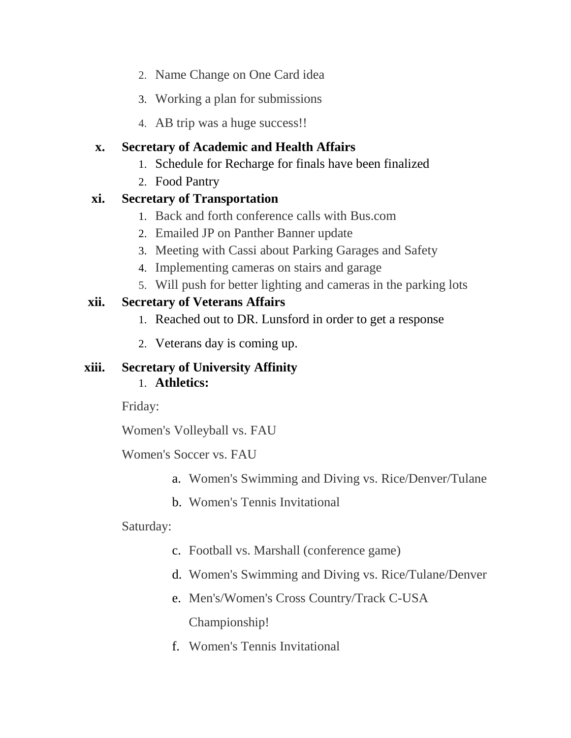- 2. Name Change on One Card idea
- 3. Working a plan for submissions
- 4. AB trip was a huge success!!

#### **x. Secretary of Academic and Health Affairs**

- 1. Schedule for Recharge for finals have been finalized
- 2. Food Pantry

#### **xi. Secretary of Transportation**

- 1. Back and forth conference calls with Bus.com
- 2. Emailed JP on Panther Banner update
- 3. Meeting with Cassi about Parking Garages and Safety
- 4. Implementing cameras on stairs and garage
- 5. Will push for better lighting and cameras in the parking lots

### **xii. Secretary of Veterans Affairs**

- 1. Reached out to DR. Lunsford in order to get a response
- 2. Veterans day is coming up.

#### **xiii. Secretary of University Affinity** 1. **Athletics:**

Friday:

Women's Volleyball vs. FAU

Women's Soccer vs. FAU

- a. Women's Swimming and Diving vs. Rice/Denver/Tulane
- b. Women's Tennis Invitational

### Saturday:

- c. Football vs. Marshall (conference game)
- d. Women's Swimming and Diving vs. Rice/Tulane/Denver
- e. Men's/Women's Cross Country/Track C-USA Championship!
- f. Women's Tennis Invitational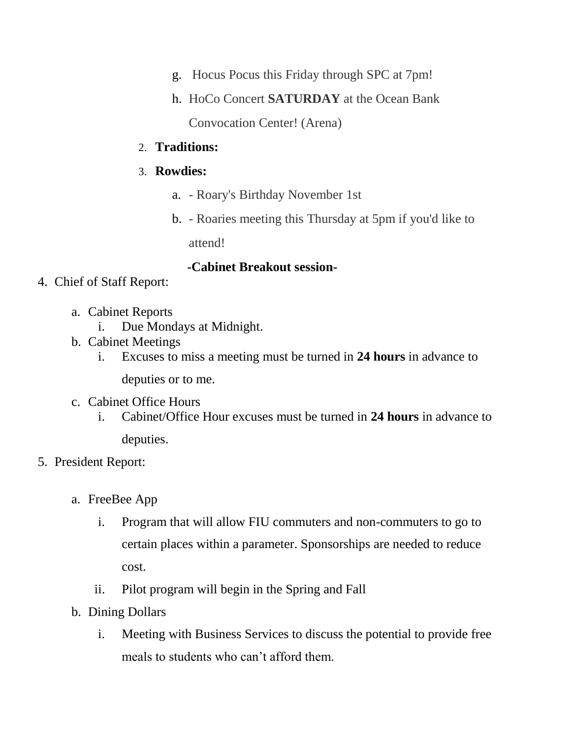- g. Hocus Pocus this Friday through SPC at 7pm!
- h. HoCo Concert **SATURDAY** at the Ocean Bank

Convocation Center! (Arena)

#### 2. **Traditions:**

#### 3. **Rowdies:**

- a. Roary's Birthday November 1st
- b. Roaries meeting this Thursday at 5pm if you'd like to

attend!

#### **-Cabinet Breakout session-**

- 4. Chief of Staff Report:
	- a. Cabinet Reports
		- i. Due Mondays at Midnight.
	- b. Cabinet Meetings
		- i. Excuses to miss a meeting must be turned in **24 hours** in advance to

deputies or to me.

- c. Cabinet Office Hours
	- i. Cabinet/Office Hour excuses must be turned in **24 hours** in advance to deputies.
- 5. President Report:
	- a. FreeBee App
		- i. Program that will allow FIU commuters and non-commuters to go to certain places within a parameter. Sponsorships are needed to reduce cost.
		- ii. Pilot program will begin in the Spring and Fall
	- b. Dining Dollars
		- i. Meeting with Business Services to discuss the potential to provide free meals to students who can't afford them.